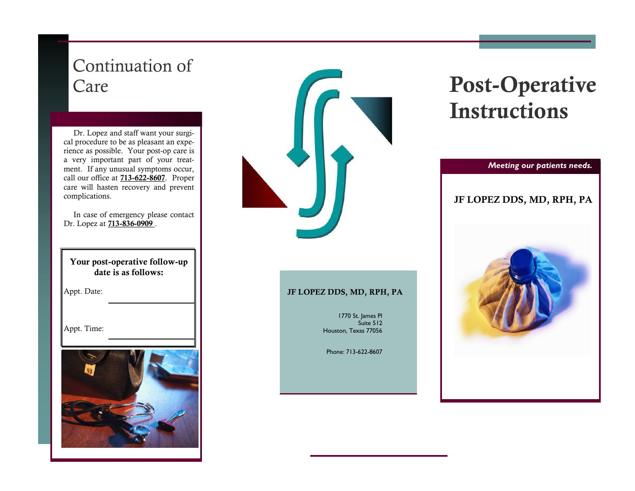## Continuation of Care

 Dr. Lopez and staff want your surgical procedure to be as pleasant an experience as possible. Your post-op care is a very important part of your treatment. If any unusual symptoms occur, call our office at 713-622-8607. Proper care will hasten recovery and prevent complications.

 In case of emergency please contact Dr. Lopez at **713-836-0909**.

Your post-operative follow-up date is as follows:

Appt. Date:

Appt. Time:





#### JF LOPEZ DDS, MD, RPH, PA

1770 St. James Pl Suite 512 Houston, Texas 77056

Phone: 713-622-8607

# Post-Operative Instructions